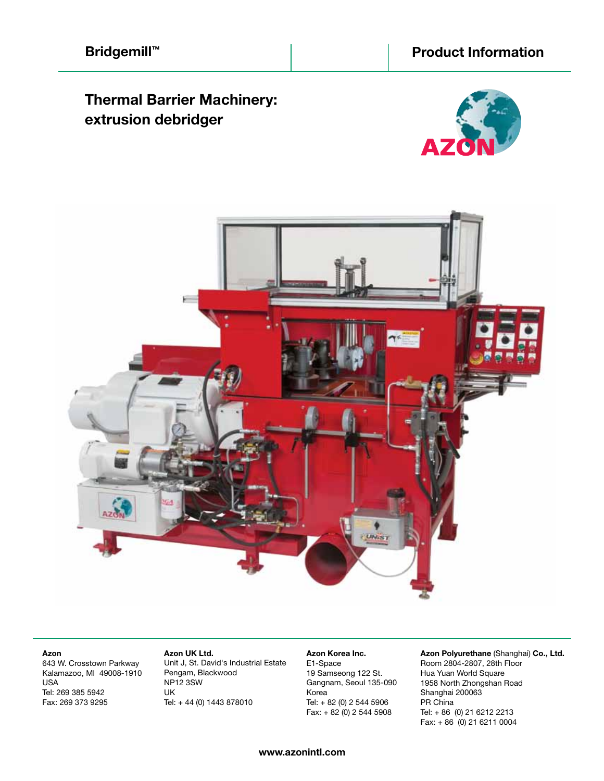# **Thermal Barrier Machinery: extrusion debridger**





#### **Azon**

643 W. Crosstown Parkway Kalamazoo, MI 49008-1910 USA Tel: 269 385 5942 Fax: 269 373 9295

 **Azon UK Ltd.** Unit J, St. David's Industrial Estate Pengam, Blackwood NP12 3SW UK Tel: + 44 (0) 1443 878010

 **Azon Korea Inc.** E1-Space 19 Samseong 122 St. Gangnam, Seoul 135-090 Korea Tel: + 82 (0) 2 544 5906 Fax:  $+ 82 (0) 2 544 5908$ 

**Azon Polyurethane** (Shanghai) **Co., Ltd.** Room 2804-2807, 28th Floor Hua Yuan World Square 1958 North Zhongshan Road Shanghai 200063 PR China Tel: + 86 (0) 21 6212 2213 Fax: + 86 (0) 21 6211 0004